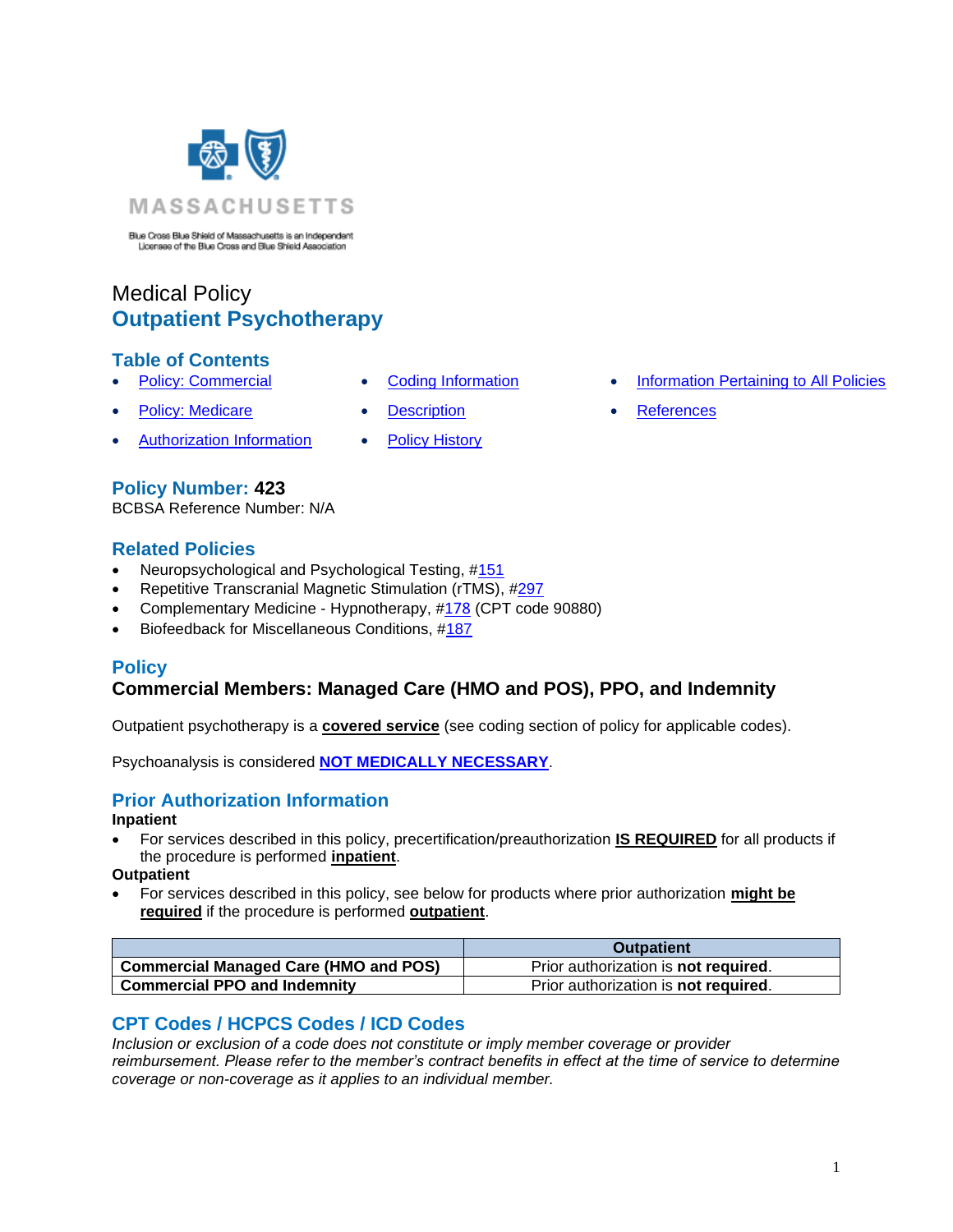<span id="page-0-2"></span>

Blue Cross Blue Shield of Massachusetts is an Independent<br>Licenses of the Blue Cross and Blue Shield Association

# Medical Policy **Outpatient Psychotherapy**

### **Table of Contents**

- 
- **[Policy: Medicare](#page-0-2) [Description](#page-1-0) [References](#page-3-1)**
- [Authorization Information](#page-0-3) [Policy History](#page-2-0)
- 
- -
- **[Policy: Commercial](#page-0-0) [Coding Information](#page-0-1) [Information Pertaining to All Policies](#page-3-0)** 
	-

## **Policy Number: 423**

BCBSA Reference Number: N/A

### **Related Policies**

- Neuropsychological and Psychological Testing, [#151](https://www.bluecrossma.org/medical-policies/sites/g/files/csphws2091/files/acquiadam-assets/151%20Neuropsychological%20and%20Psychological%20Testing%20prn.pdf)
- Repetitive Transcranial Magnetic Stimulation (rTMS), [#297](http://www.bluecrossma.org/medical-policies/sites/g/files/csphws2091/files/acquiadam-assets/297%20Repetitive%20Transcranial%20Magnetic%20Stimulation%20-%20rTMS%20prn.pdf)
- Complementary Medicine Hypnotherapy, #[178](http://www.bluecrossma.org/medical-policies/sites/g/files/csphws2091/files/acquiadam-assets/178%20Complementary%20Medicine%20prn.pdf) (CPT code 90880)
- <span id="page-0-0"></span>• Biofeedback for Miscellaneous Conditions, [#187](https://www.bluecrossma.org/medical-policies/sites/g/files/csphws2091/files/acquiadam-assets/187%20Biofeedback%20for%20Miscellaneous%20Indications%20prn.pdf)

# **Policy**

# **Commercial Members: Managed Care (HMO and POS), PPO, and Indemnity**

Outpatient psychotherapy is a **covered service** (see coding section of policy for applicable codes).

<span id="page-0-3"></span>Psychoanalysis is considered **[NOT MEDICALLY NECESSARY](https://www.bluecrossma.org/medical-policies/sites/g/files/csphws2091/files/acquiadam-assets/Definition%20of%20Med%20Nec%20Inv%20Not%20Med%20Nec%20prn.pdf#page=1)**.

## **Prior Authorization Information**

#### **Inpatient**

• For services described in this policy, precertification/preauthorization **IS REQUIRED** for all products if the procedure is performed **inpatient**.

#### **Outpatient**

• For services described in this policy, see below for products where prior authorization **might be required** if the procedure is performed **outpatient**.

|                                                    | <b>Outpatient</b>                            |
|----------------------------------------------------|----------------------------------------------|
| <sup>1</sup> Commercial Managed Care (HMO and POS) | Prior authorization is <b>not required</b> . |
| <b>Commercial PPO and Indemnity</b>                | Prior authorization is not required.         |

## <span id="page-0-1"></span>**CPT Codes / HCPCS Codes / ICD Codes**

*Inclusion or exclusion of a code does not constitute or imply member coverage or provider reimbursement. Please refer to the member's contract benefits in effect at the time of service to determine coverage or non-coverage as it applies to an individual member.*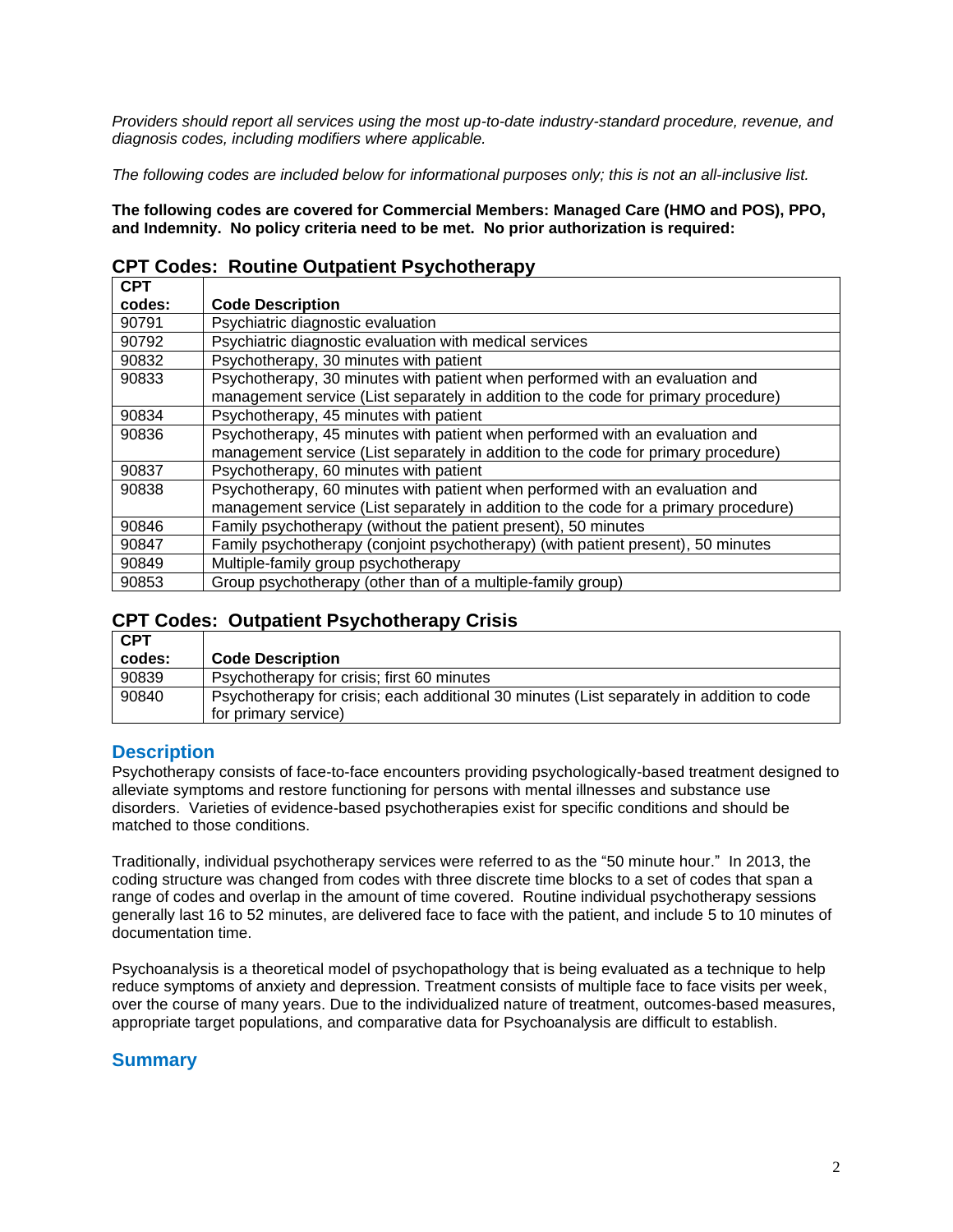*Providers should report all services using the most up-to-date industry-standard procedure, revenue, and diagnosis codes, including modifiers where applicable.*

*The following codes are included below for informational purposes only; this is not an all-inclusive list.*

**The following codes are covered for Commercial Members: Managed Care (HMO and POS), PPO, and Indemnity. No policy criteria need to be met. No prior authorization is required:**

|  |  | <b>CPT Codes: Routine Outpatient Psychotherapy</b> |  |
|--|--|----------------------------------------------------|--|
|--|--|----------------------------------------------------|--|

| <b>CPT</b> |                                                                                      |
|------------|--------------------------------------------------------------------------------------|
| codes:     | <b>Code Description</b>                                                              |
| 90791      | Psychiatric diagnostic evaluation                                                    |
| 90792      | Psychiatric diagnostic evaluation with medical services                              |
| 90832      | Psychotherapy, 30 minutes with patient                                               |
| 90833      | Psychotherapy, 30 minutes with patient when performed with an evaluation and         |
|            | management service (List separately in addition to the code for primary procedure)   |
| 90834      | Psychotherapy, 45 minutes with patient                                               |
| 90836      | Psychotherapy, 45 minutes with patient when performed with an evaluation and         |
|            | management service (List separately in addition to the code for primary procedure)   |
| 90837      | Psychotherapy, 60 minutes with patient                                               |
| 90838      | Psychotherapy, 60 minutes with patient when performed with an evaluation and         |
|            | management service (List separately in addition to the code for a primary procedure) |
| 90846      | Family psychotherapy (without the patient present), 50 minutes                       |
| 90847      | Family psychotherapy (conjoint psychotherapy) (with patient present), 50 minutes     |
| 90849      | Multiple-family group psychotherapy                                                  |
| 90853      | Group psychotherapy (other than of a multiple-family group)                          |

# **CPT Codes: Outpatient Psychotherapy Crisis**

| <b>CPT</b> |                                                                                           |
|------------|-------------------------------------------------------------------------------------------|
| codes:     | <b>Code Description</b>                                                                   |
| 90839      | Psychotherapy for crisis; first 60 minutes                                                |
| 90840      | Psychotherapy for crisis; each additional 30 minutes (List separately in addition to code |
|            | for primary service)                                                                      |

### <span id="page-1-0"></span>**Description**

Psychotherapy consists of face-to-face encounters providing psychologically-based treatment designed to alleviate symptoms and restore functioning for persons with mental illnesses and substance use disorders. Varieties of evidence-based psychotherapies exist for specific conditions and should be matched to those conditions.

Traditionally, individual psychotherapy services were referred to as the "50 minute hour." In 2013, the coding structure was changed from codes with three discrete time blocks to a set of codes that span a range of codes and overlap in the amount of time covered. Routine individual psychotherapy sessions generally last 16 to 52 minutes, are delivered face to face with the patient, and include 5 to 10 minutes of documentation time.

Psychoanalysis is a theoretical model of psychopathology that is being evaluated as a technique to help reduce symptoms of anxiety and depression. Treatment consists of multiple face to face visits per week, over the course of many years. Due to the individualized nature of treatment, outcomes-based measures, appropriate target populations, and comparative data for Psychoanalysis are difficult to establish.

## **Summary**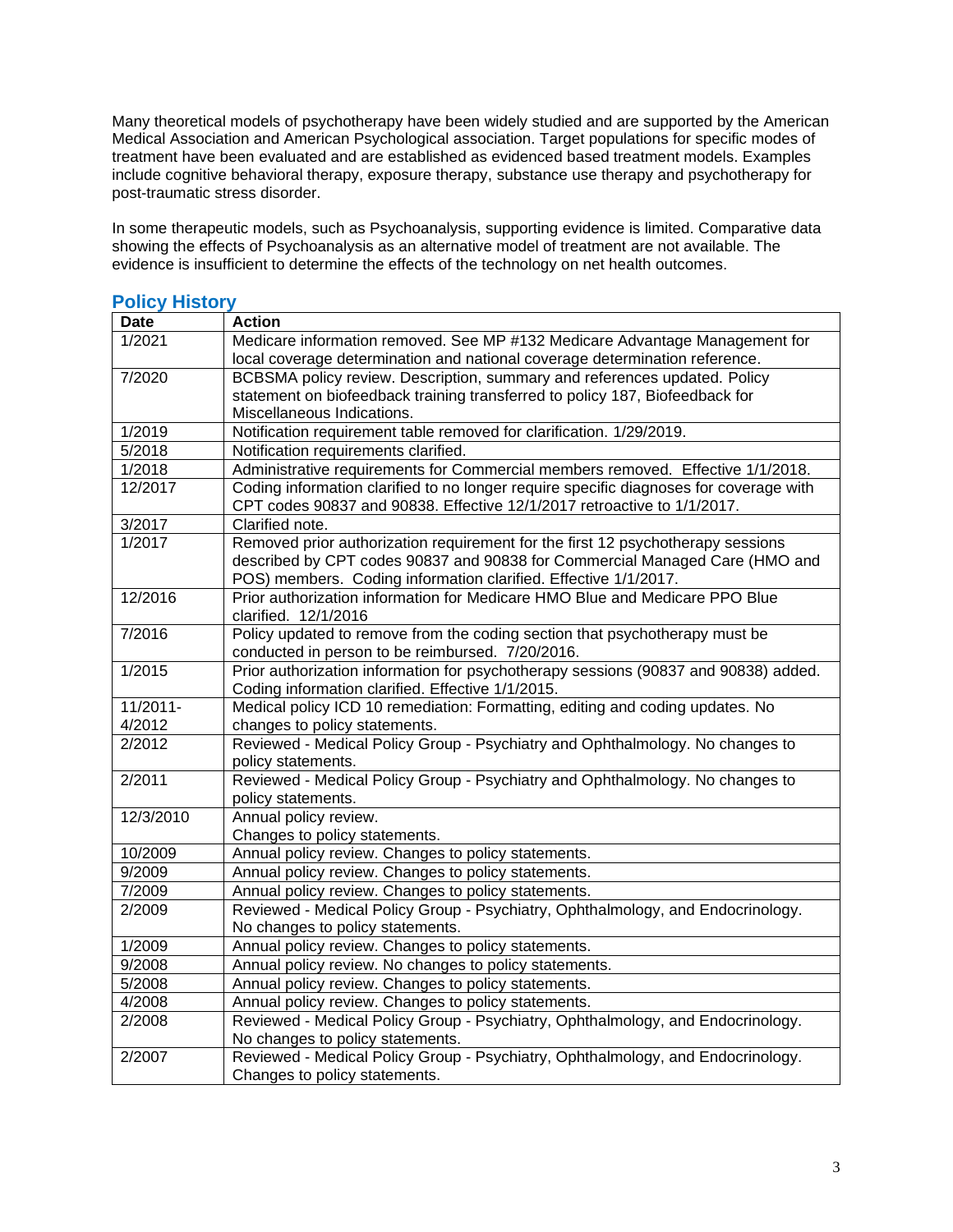Many theoretical models of psychotherapy have been widely studied and are supported by the American Medical Association and American Psychological association. Target populations for specific modes of treatment have been evaluated and are established as evidenced based treatment models. Examples include cognitive behavioral therapy, exposure therapy, substance use therapy and psychotherapy for post-traumatic stress disorder.

In some therapeutic models, such as Psychoanalysis, supporting evidence is limited. Comparative data showing the effects of Psychoanalysis as an alternative model of treatment are not available. The evidence is insufficient to determine the effects of the technology on net health outcomes.

| <b>Date</b>          | <b>Action</b>                                                                                                                                                                                                                     |
|----------------------|-----------------------------------------------------------------------------------------------------------------------------------------------------------------------------------------------------------------------------------|
| 1/2021               | Medicare information removed. See MP #132 Medicare Advantage Management for                                                                                                                                                       |
|                      | local coverage determination and national coverage determination reference.                                                                                                                                                       |
| 7/2020               | BCBSMA policy review. Description, summary and references updated. Policy                                                                                                                                                         |
|                      | statement on biofeedback training transferred to policy 187, Biofeedback for                                                                                                                                                      |
|                      | Miscellaneous Indications.                                                                                                                                                                                                        |
| 1/2019               | Notification requirement table removed for clarification. 1/29/2019.                                                                                                                                                              |
| 5/2018               | Notification requirements clarified.                                                                                                                                                                                              |
| 1/2018               | Administrative requirements for Commercial members removed. Effective 1/1/2018.                                                                                                                                                   |
| 12/2017              | Coding information clarified to no longer require specific diagnoses for coverage with<br>CPT codes 90837 and 90838. Effective 12/1/2017 retroactive to 1/1/2017.                                                                 |
| 3/2017               | Clarified note.                                                                                                                                                                                                                   |
| 1/2017               | Removed prior authorization requirement for the first 12 psychotherapy sessions<br>described by CPT codes 90837 and 90838 for Commercial Managed Care (HMO and<br>POS) members. Coding information clarified. Effective 1/1/2017. |
| 12/2016              | Prior authorization information for Medicare HMO Blue and Medicare PPO Blue<br>clarified. 12/1/2016                                                                                                                               |
| 7/2016               | Policy updated to remove from the coding section that psychotherapy must be                                                                                                                                                       |
|                      | conducted in person to be reimbursed. 7/20/2016.                                                                                                                                                                                  |
| 1/2015               | Prior authorization information for psychotherapy sessions (90837 and 90838) added.<br>Coding information clarified. Effective 1/1/2015.                                                                                          |
| 11/2011-             | Medical policy ICD 10 remediation: Formatting, editing and coding updates. No                                                                                                                                                     |
| 4/2012               | changes to policy statements.                                                                                                                                                                                                     |
| 2/2012               | Reviewed - Medical Policy Group - Psychiatry and Ophthalmology. No changes to                                                                                                                                                     |
|                      | policy statements.                                                                                                                                                                                                                |
| 2/2011               | Reviewed - Medical Policy Group - Psychiatry and Ophthalmology. No changes to<br>policy statements.                                                                                                                               |
| 12/3/2010            | Annual policy review.                                                                                                                                                                                                             |
|                      | Changes to policy statements.                                                                                                                                                                                                     |
| $\frac{1}{10}$ /2009 | Annual policy review. Changes to policy statements.                                                                                                                                                                               |
| 9/2009               | Annual policy review. Changes to policy statements.                                                                                                                                                                               |
| 7/2009               | Annual policy review. Changes to policy statements.                                                                                                                                                                               |
| 2/2009               | Reviewed - Medical Policy Group - Psychiatry, Ophthalmology, and Endocrinology.                                                                                                                                                   |
|                      | No changes to policy statements.                                                                                                                                                                                                  |
| $\frac{1}{2009}$     | Annual policy review. Changes to policy statements.                                                                                                                                                                               |
| 9/2008               | Annual policy review. No changes to policy statements.                                                                                                                                                                            |
| 5/2008               | Annual policy review. Changes to policy statements.                                                                                                                                                                               |
| 4/2008               | Annual policy review. Changes to policy statements.                                                                                                                                                                               |
| 2/2008               | Reviewed - Medical Policy Group - Psychiatry, Ophthalmology, and Endocrinology.                                                                                                                                                   |
|                      | No changes to policy statements.                                                                                                                                                                                                  |
| 2/2007               | Reviewed - Medical Policy Group - Psychiatry, Ophthalmology, and Endocrinology.<br>Changes to policy statements.                                                                                                                  |

### <span id="page-2-0"></span>**Policy History**